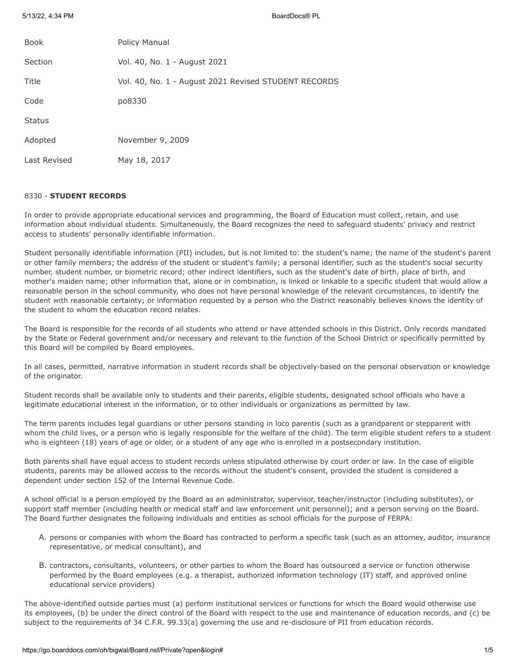5/13/22, 4:34 PM BoardDocs® PL

| <b>Book</b>   | Policy Manual                                        |
|---------------|------------------------------------------------------|
| Section       | Vol. 40, No. 1 - August 2021                         |
| Title         | Vol. 40, No. 1 - August 2021 Revised STUDENT RECORDS |
| Code          | po8330                                               |
| <b>Status</b> |                                                      |
| Adopted       | November 9, 2009                                     |
| Last Revised  | May 18, 2017                                         |

# 8330 - **STUDENT RECORDS**

In order to provide appropriate educational services and programming, the Board of Education must collect, retain, and use information about individual students. Simultaneously, the Board recognizes the need to safeguard students' privacy and restrict access to students' personally identifiable information.

Student personally identifiable information (PII) includes, but is not limited to: the student's name; the name of the student's parent or other family members; the address of the student or student's family; a personal identifier, such as the student's social security number, student number, or biometric record; other indirect identifiers, such as the student's date of birth, place of birth, and mother's maiden name; other information that, alone or in combination, is linked or linkable to a specific student that would allow a reasonable person in the school community, who does not have personal knowledge of the relevant circumstances, to identify the student with reasonable certainty; or information requested by a person who the District reasonably believes knows the identity of the student to whom the education record relates.

The Board is responsible for the records of all students who attend or have attended schools in this District. Only records mandated by the State or Federal government and/or necessary and relevant to the function of the School District or specifically permitted by this Board will be compiled by Board employees.

In all cases, permitted, narrative information in student records shall be objectively-based on the personal observation or knowledge of the originator.

Student records shall be available only to students and their parents, eligible students, designated school officials who have a legitimate educational interest in the information, or to other individuals or organizations as permitted by law.

The term parents includes legal guardians or other persons standing in loco parentis (such as a grandparent or stepparent with whom the child lives, or a person who is legally responsible for the welfare of the child). The term eligible student refers to a student who is eighteen (18) years of age or older, or a student of any age who is enrolled in a postsecondary institution.

Both parents shall have equal access to student records unless stipulated otherwise by court order or law. In the case of eligible students, parents may be allowed access to the records without the student's consent, provided the student is considered a dependent under section 152 of the Internal Revenue Code.

A school official is a person employed by the Board as an administrator, supervisor, teacher/instructor (including substitutes), or support staff member (including health or medical staff and law enforcement unit personnel); and a person serving on the Board. The Board further designates the following individuals and entities as school officials for the purpose of FERPA:

- A. persons or companies with whom the Board has contracted to perform a specific task (such as an attorney, auditor, insurance representative, or medical consultant), and
- B. contractors, consultants, volunteers, or other parties to whom the Board has outsourced a service or function otherwise performed by the Board employees (e.g. a therapist, authorized information technology (IT) staff, and approved online educational service providers)

The above-identified outside parties must (a) perform institutional services or functions for which the Board would otherwise use its employees, (b) be under the direct control of the Board with respect to the use and maintenance of education records, and (c) be subject to the requirements of 34 C.F.R. 99.33(a) governing the use and re-disclosure of PII from education records.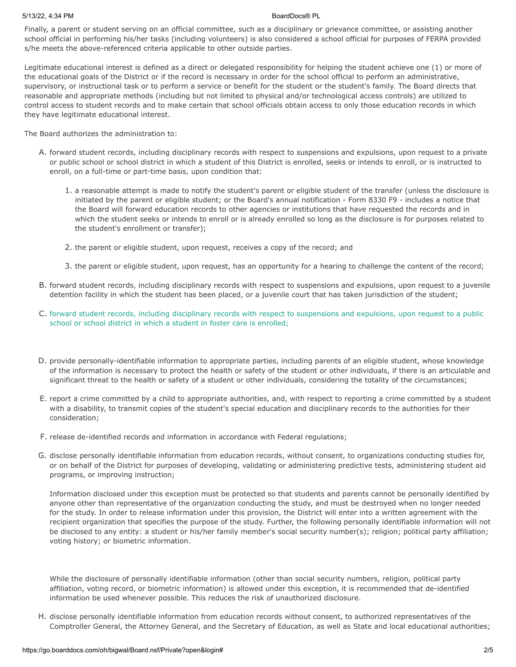### 5/13/22, 4:34 PM BoardDocs® PL

Finally, a parent or student serving on an official committee, such as a disciplinary or grievance committee, or assisting another school official in performing his/her tasks (including volunteers) is also considered a school official for purposes of FERPA provided s/he meets the above-referenced criteria applicable to other outside parties.

Legitimate educational interest is defined as a direct or delegated responsibility for helping the student achieve one (1) or more of the educational goals of the District or if the record is necessary in order for the school official to perform an administrative, supervisory, or instructional task or to perform a service or benefit for the student or the student's family. The Board directs that reasonable and appropriate methods (including but not limited to physical and/or technological access controls) are utilized to control access to student records and to make certain that school officials obtain access to only those education records in which they have legitimate educational interest.

The Board authorizes the administration to:

- A. forward student records, including disciplinary records with respect to suspensions and expulsions, upon request to a private or public school or school district in which a student of this District is enrolled, seeks or intends to enroll, or is instructed to enroll, on a full-time or part-time basis, upon condition that:
	- 1. a reasonable attempt is made to notify the student's parent or eligible student of the transfer (unless the disclosure is initiated by the parent or eligible student; or the Board's annual notification - Form 8330 F9 - includes a notice that the Board will forward education records to other agencies or institutions that have requested the records and in which the student seeks or intends to enroll or is already enrolled so long as the disclosure is for purposes related to the student's enrollment or transfer);
	- 2. the parent or eligible student, upon request, receives a copy of the record; and
	- 3. the parent or eligible student, upon request, has an opportunity for a hearing to challenge the content of the record;
- B. forward student records, including disciplinary records with respect to suspensions and expulsions, upon request to a juvenile detention facility in which the student has been placed, or a juvenile court that has taken jurisdiction of the student;
- C. forward student records, including disciplinary records with respect to suspensions and expulsions, upon request to a public school or school district in which a student in foster care is enrolled;
- D. provide personally-identifiable information to appropriate parties, including parents of an eligible student, whose knowledge of the information is necessary to protect the health or safety of the student or other individuals, if there is an articulable and significant threat to the health or safety of a student or other individuals, considering the totality of the circumstances;
- E. report a crime committed by a child to appropriate authorities, and, with respect to reporting a crime committed by a student with a disability, to transmit copies of the student's special education and disciplinary records to the authorities for their consideration;
- F. release de-identified records and information in accordance with Federal regulations;
- G. disclose personally identifiable information from education records, without consent, to organizations conducting studies for, or on behalf of the District for purposes of developing, validating or administering predictive tests, administering student aid programs, or improving instruction;

Information disclosed under this exception must be protected so that students and parents cannot be personally identified by anyone other than representative of the organization conducting the study, and must be destroyed when no longer needed for the study. In order to release information under this provision, the District will enter into a written agreement with the recipient organization that specifies the purpose of the study. Further, the following personally identifiable information will not be disclosed to any entity: a student or his/her family member's social security number(s); religion; political party affiliation; voting history; or biometric information.

While the disclosure of personally identifiable information (other than social security numbers, religion, political party affiliation, voting record, or biometric information) is allowed under this exception, it is recommended that de-identified information be used whenever possible. This reduces the risk of unauthorized disclosure.

H. disclose personally identifiable information from education records without consent, to authorized representatives of the Comptroller General, the Attorney General, and the Secretary of Education, as well as State and local educational authorities;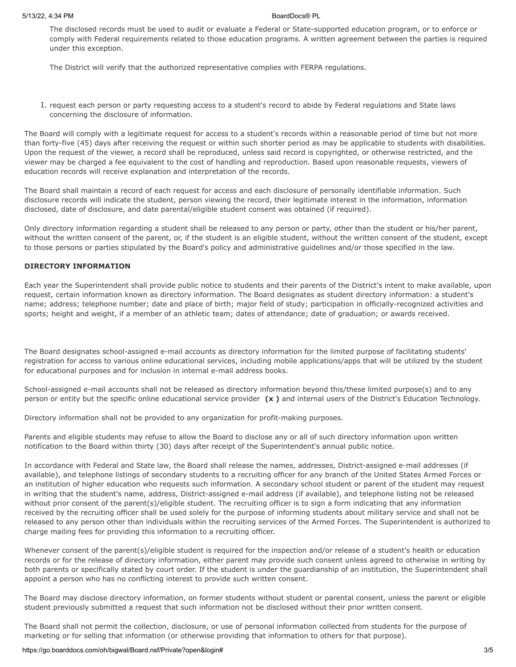The disclosed records must be used to audit or evaluate a Federal or State-supported education program, or to enforce or comply with Federal requirements related to those education programs. A written agreement between the parties is required under this exception.

The District will verify that the authorized representative complies with FERPA regulations.

I. request each person or party requesting access to a student's record to abide by Federal regulations and State laws concerning the disclosure of information.

The Board will comply with a legitimate request for access to a student's records within a reasonable period of time but not more than forty-five (45) days after receiving the request or within such shorter period as may be applicable to students with disabilities. Upon the request of the viewer, a record shall be reproduced, unless said record is copyrighted, or otherwise restricted, and the viewer may be charged a fee equivalent to the cost of handling and reproduction. Based upon reasonable requests, viewers of education records will receive explanation and interpretation of the records.

The Board shall maintain a record of each request for access and each disclosure of personally identifiable information. Such disclosure records will indicate the student, person viewing the record, their legitimate interest in the information, information disclosed, date of disclosure, and date parental/eligible student consent was obtained (if required).

Only directory information regarding a student shall be released to any person or party, other than the student or his/her parent, without the written consent of the parent, or, if the student is an eligible student, without the written consent of the student, except to those persons or parties stipulated by the Board's policy and administrative guidelines and/or those specified in the law.

## **DIRECTORY INFORMATION**

Each year the Superintendent shall provide public notice to students and their parents of the District's intent to make available, upon request, certain information known as directory information. The Board designates as student directory information: a student's name; address; telephone number; date and place of birth; major field of study; participation in officially-recognized activities and sports; height and weight, if a member of an athletic team; dates of attendance; date of graduation; or awards received.

The Board designates school-assigned e-mail accounts as directory information for the limited purpose of facilitating students' registration for access to various online educational services, including mobile applications/apps that will be utilized by the student for educational purposes and for inclusion in internal e-mail address books.

School-assigned e-mail accounts shall not be released as directory information beyond this/these limited purpose(s) and to any person or entity but the specific online educational service provider **(x )** and internal users of the District's Education Technology.

Directory information shall not be provided to any organization for profit-making purposes.

Parents and eligible students may refuse to allow the Board to disclose any or all of such directory information upon written notification to the Board within thirty (30) days after receipt of the Superintendent's annual public notice.

In accordance with Federal and State law, the Board shall release the names, addresses, District-assigned e-mail addresses (if available), and telephone listings of secondary students to a recruiting officer for any branch of the United States Armed Forces or an institution of higher education who requests such information. A secondary school student or parent of the student may request in writing that the student's name, address, District-assigned e-mail address (if available), and telephone listing not be released without prior consent of the parent(s)/eligible student. The recruiting officer is to sign a form indicating that any information received by the recruiting officer shall be used solely for the purpose of informing students about military service and shall not be released to any person other than individuals within the recruiting services of the Armed Forces. The Superintendent is authorized to charge mailing fees for providing this information to a recruiting officer.

Whenever consent of the parent(s)/eligible student is required for the inspection and/or release of a student's health or education records or for the release of directory information, either parent may provide such consent unless agreed to otherwise in writing by both parents or specifically stated by court order. If the student is under the guardianship of an institution, the Superintendent shall appoint a person who has no conflicting interest to provide such written consent.

The Board may disclose directory information, on former students without student or parental consent, unless the parent or eligible student previously submitted a request that such information not be disclosed without their prior written consent.

The Board shall not permit the collection, disclosure, or use of personal information collected from students for the purpose of marketing or for selling that information (or otherwise providing that information to others for that purpose).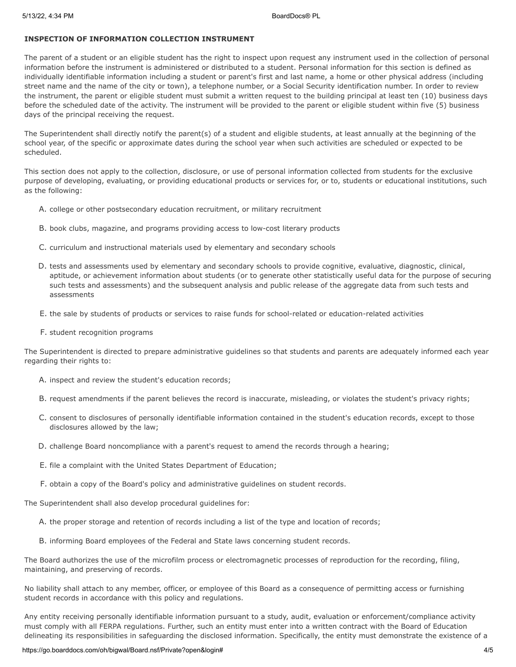## **INSPECTION OF INFORMATION COLLECTION INSTRUMENT**

The parent of a student or an eligible student has the right to inspect upon request any instrument used in the collection of personal information before the instrument is administered or distributed to a student. Personal information for this section is defined as individually identifiable information including a student or parent's first and last name, a home or other physical address (including street name and the name of the city or town), a telephone number, or a Social Security identification number. In order to review the instrument, the parent or eligible student must submit a written request to the building principal at least ten (10) business days before the scheduled date of the activity. The instrument will be provided to the parent or eligible student within five (5) business days of the principal receiving the request.

The Superintendent shall directly notify the parent(s) of a student and eligible students, at least annually at the beginning of the school year, of the specific or approximate dates during the school year when such activities are scheduled or expected to be scheduled.

This section does not apply to the collection, disclosure, or use of personal information collected from students for the exclusive purpose of developing, evaluating, or providing educational products or services for, or to, students or educational institutions, such as the following:

- A. college or other postsecondary education recruitment, or military recruitment
- B. book clubs, magazine, and programs providing access to low-cost literary products
- C. curriculum and instructional materials used by elementary and secondary schools
- D. tests and assessments used by elementary and secondary schools to provide cognitive, evaluative, diagnostic, clinical, aptitude, or achievement information about students (or to generate other statistically useful data for the purpose of securing such tests and assessments) and the subsequent analysis and public release of the aggregate data from such tests and assessments
- E. the sale by students of products or services to raise funds for school-related or education-related activities
- F. student recognition programs

The Superintendent is directed to prepare administrative guidelines so that students and parents are adequately informed each year regarding their rights to:

- A. inspect and review the student's education records;
- B. request amendments if the parent believes the record is inaccurate, misleading, or violates the student's privacy rights;
- C. consent to disclosures of personally identifiable information contained in the student's education records, except to those disclosures allowed by the law;
- D. challenge Board noncompliance with a parent's request to amend the records through a hearing;
- E. file a complaint with the United States Department of Education;
- F. obtain a copy of the Board's policy and administrative guidelines on student records.

The Superintendent shall also develop procedural guidelines for:

- A. the proper storage and retention of records including a list of the type and location of records;
- B. informing Board employees of the Federal and State laws concerning student records.

The Board authorizes the use of the microfilm process or electromagnetic processes of reproduction for the recording, filing, maintaining, and preserving of records.

No liability shall attach to any member, officer, or employee of this Board as a consequence of permitting access or furnishing student records in accordance with this policy and regulations.

Any entity receiving personally identifiable information pursuant to a study, audit, evaluation or enforcement/compliance activity must comply with all FERPA regulations. Further, such an entity must enter into a written contract with the Board of Education delineating its responsibilities in safeguarding the disclosed information. Specifically, the entity must demonstrate the existence of a